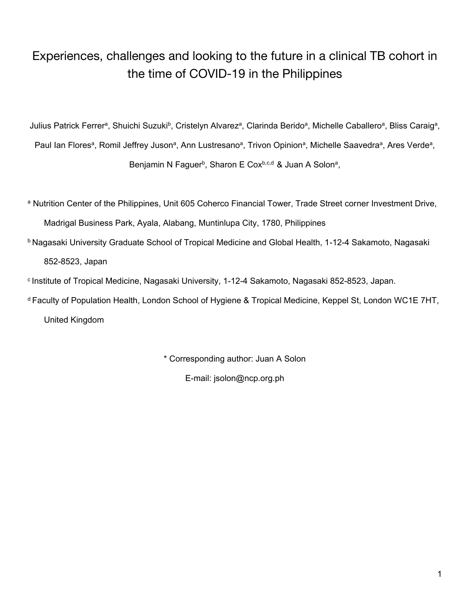# Experiences, challenges and looking to the future in a clinical TB cohort in the time of COVID-19 in the Philippines

Julius Patrick Ferrer<sup>a</sup>, Shuichi Suzuki<sup>b</sup>, Cristelyn Alvarez<sup>a</sup>, Clarinda Berido<sup>a</sup>, Michelle Caballero<sup>a</sup>, Bliss Caraig<sup>a</sup>, Paul Ian Flores<sup>a</sup>, Romil Jeffrey Juson<sup>a</sup>, Ann Lustresano<sup>a</sup>, Trivon Opinion<sup>a</sup>, Michelle Saavedra<sup>a</sup>, Ares Verde<sup>a</sup>, Benjamin N Faguer<sup>b</sup>, Sharon E Cox<sup>b,c,d</sup> & Juan A Solonª,

a Nutrition Center of the Philippines, Unit 605 Coherco Financial Tower, Trade Street corner Investment Drive, Madrigal Business Park, Ayala, Alabang, Muntinlupa City, 1780, Philippines

**b Nagasaki University Graduate School of Tropical Medicine and Global Health, 1-12-4 Sakamoto, Nagasaki** 852-8523, Japan

<sup>c</sup> Institute of Tropical Medicine, Nagasaki University, 1-12-4 Sakamoto, Nagasaki 852-8523, Japan.

<sup>d</sup>Faculty of Population Health, London School of Hygiene & Tropical Medicine, Keppel St, London WC1E 7HT,

United Kingdom

\* Corresponding author: Juan A Solon

E-mail: jsolon@ncp.org.ph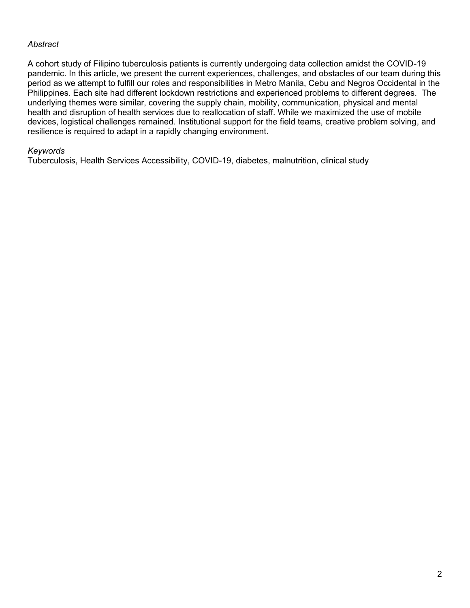## *Abstract*

A cohort study of Filipino tuberculosis patients is currently undergoing data collection amidst the COVID-19 pandemic. In this article, we present the current experiences, challenges, and obstacles of our team during this period as we attempt to fulfill our roles and responsibilities in Metro Manila, Cebu and Negros Occidental in the Philippines. Each site had different lockdown restrictions and experienced problems to different degrees. The underlying themes were similar, covering the supply chain, mobility, communication, physical and mental health and disruption of health services due to reallocation of staff. While we maximized the use of mobile devices, logistical challenges remained. Institutional support for the field teams, creative problem solving, and resilience is required to adapt in a rapidly changing environment.

#### *Keywords*

Tuberculosis, Health Services Accessibility, COVID-19, diabetes, malnutrition, clinical study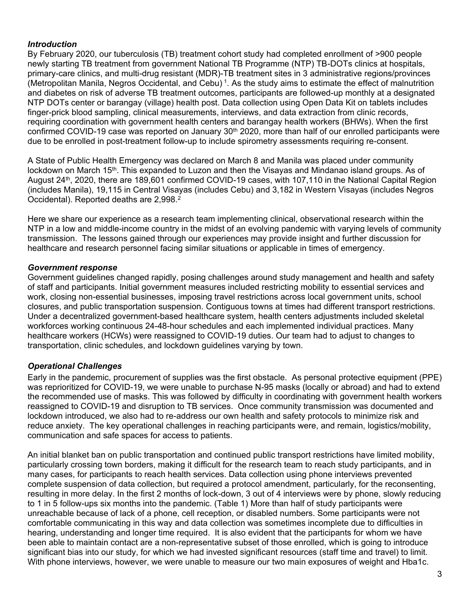### *Introduction*

By February 2020, our tuberculosis (TB) treatment cohort study had completed enrollment of >900 people newly starting TB treatment from government National TB Programme (NTP) TB-DOTs clinics at hospitals, primary-care clinics, and multi-drug resistant (MDR)-TB treatment sites in 3 administrative regions/provinces (Metropolitan Manila, Negros Occidental, and Cebu)<sup>1</sup>. As the study aims to estimate the effect of malnutrition and diabetes on risk of adverse TB treatment outcomes, participants are followed-up monthly at a designated NTP DOTs center or barangay (village) health post. Data collection using Open Data Kit on tablets includes finger-prick blood sampling, clinical measurements, interviews, and data extraction from clinic records, requiring coordination with government health centers and barangay health workers (BHWs). When the first confirmed COVID-19 case was reported on January 30<sup>th</sup> 2020, more than half of our enrolled participants were due to be enrolled in post-treatment follow-up to include spirometry assessments requiring re-consent.

A State of Public Health Emergency was declared on March 8 and Manila was placed under community lockdown on March 15<sup>th</sup>. This expanded to Luzon and then the Visayas and Mindanao island groups. As of August 24th, 2020, there are 189,601 confirmed COVID-19 cases, with 107,110 in the National Capital Region (includes Manila), 19,115 in Central Visayas (includes Cebu) and 3,182 in Western Visayas (includes Negros Occidental). Reported deaths are 2.998.<sup>2</sup>

Here we share our experience as a research team implementing clinical, observational research within the NTP in a low and middle-income country in the midst of an evolving pandemic with varying levels of community transmission. The lessons gained through our experiences may provide insight and further discussion for healthcare and research personnel facing similar situations or applicable in times of emergency.

## *Government response*

Government guidelines changed rapidly, posing challenges around study management and health and safety of staff and participants. Initial government measures included restricting mobility to essential services and work, closing non-essential businesses, imposing travel restrictions across local government units, school closures, and public transportation suspension. Contiguous towns at times had different transport restrictions. Under a decentralized government-based healthcare system, health centers adjustments included skeletal workforces working continuous 24-48-hour schedules and each implemented individual practices. Many healthcare workers (HCWs) were reassigned to COVID-19 duties. Our team had to adjust to changes to transportation, clinic schedules, and lockdown guidelines varying by town.

# *Operational Challenges*

Early in the pandemic, procurement of supplies was the first obstacle. As personal protective equipment (PPE) was reprioritized for COVID-19, we were unable to purchase N-95 masks (locally or abroad) and had to extend the recommended use of masks. This was followed by difficulty in coordinating with government health workers reassigned to COVID-19 and disruption to TB services. Once community transmission was documented and lockdown introduced, we also had to re-address our own health and safety protocols to minimize risk and reduce anxiety. The key operational challenges in reaching participants were, and remain, logistics/mobility, communication and safe spaces for access to patients.

An initial blanket ban on public transportation and continued public transport restrictions have limited mobility, particularly crossing town borders, making it difficult for the research team to reach study participants, and in many cases, for participants to reach health services. Data collection using phone interviews prevented complete suspension of data collection, but required a protocol amendment, particularly, for the reconsenting, resulting in more delay. In the first 2 months of lock-down, 3 out of 4 interviews were by phone, slowly reducing to 1 in 5 follow-ups six months into the pandemic. (Table 1) More than half of study participants were unreachable because of lack of a phone, cell reception, or disabled numbers. Some participants were not comfortable communicating in this way and data collection was sometimes incomplete due to difficulties in hearing, understanding and longer time required. It is also evident that the participants for whom we have been able to maintain contact are a non-representative subset of those enrolled, which is going to introduce significant bias into our study, for which we had invested significant resources (staff time and travel) to limit. With phone interviews, however, we were unable to measure our two main exposures of weight and Hba1c.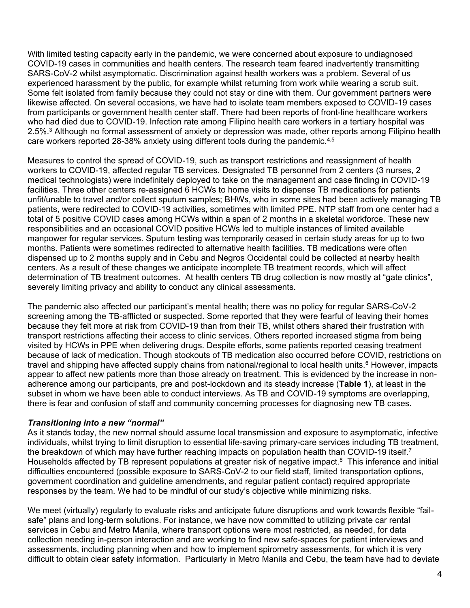With limited testing capacity early in the pandemic, we were concerned about exposure to undiagnosed COVID-19 cases in communities and health centers. The research team feared inadvertently transmitting SARS-CoV-2 whilst asymptomatic. Discrimination against health workers was a problem. Several of us experienced harassment by the public, for example whilst returning from work while wearing a scrub suit. Some felt isolated from family because they could not stay or dine with them. Our government partners were likewise affected. On several occasions, we have had to isolate team members exposed to COVID-19 cases from participants or government health center staff. There had been reports of front-line healthcare workers who had died due to COVID-19. Infection rate among Filipino health care workers in a tertiary hospital was 2.5%.<sup>3</sup> Although no formal assessment of anxiety or depression was made, other reports among Filipino health care workers reported 28-38% anxiety using different tools during the pandemic.4,5

Measures to control the spread of COVID-19, such as transport restrictions and reassignment of health workers to COVID-19, affected regular TB services. Designated TB personnel from 2 centers (3 nurses, 2 medical technologists) were indefinitely deployed to take on the management and case finding in COVID-19 facilities. Three other centers re-assigned 6 HCWs to home visits to dispense TB medications for patients unfit/unable to travel and/or collect sputum samples; BHWs, who in some sites had been actively managing TB patients, were redirected to COVID-19 activities, sometimes with limited PPE. NTP staff from one center had a total of 5 positive COVID cases among HCWs within a span of 2 months in a skeletal workforce. These new responsibilities and an occasional COVID positive HCWs led to multiple instances of limited available manpower for regular services. Sputum testing was temporarily ceased in certain study areas for up to two months. Patients were sometimes redirected to alternative health facilities. TB medications were often dispensed up to 2 months supply and in Cebu and Negros Occidental could be collected at nearby health centers. As a result of these changes we anticipate incomplete TB treatment records, which will affect determination of TB treatment outcomes. At health centers TB drug collection is now mostly at "gate clinics", severely limiting privacy and ability to conduct any clinical assessments.

The pandemic also affected our participant's mental health; there was no policy for regular SARS-CoV-2 screening among the TB-afflicted or suspected. Some reported that they were fearful of leaving their homes because they felt more at risk from COVID-19 than from their TB, whilst others shared their frustration with transport restrictions affecting their access to clinic services. Others reported increased stigma from being visited by HCWs in PPE when delivering drugs. Despite efforts, some patients reported ceasing treatment because of lack of medication. Though stockouts of TB medication also occurred before COVID, restrictions on travel and shipping have affected supply chains from national/regional to local health units.<sup>6</sup> However, impacts appear to affect new patients more than those already on treatment. This is evidenced by the increase in nonadherence among our participants, pre and post-lockdown and its steady increase (**Table 1**), at least in the subset in whom we have been able to conduct interviews. As TB and COVID-19 symptoms are overlapping, there is fear and confusion of staff and community concerning processes for diagnosing new TB cases.

#### *Transitioning into a new "normal"*

As it stands today, the new normal should assume local transmission and exposure to asymptomatic, infective individuals, whilst trying to limit disruption to essential life-saving primary-care services including TB treatment, the breakdown of which may have further reaching impacts on population health than COVID-19 itself.<sup>7</sup> Households affected by TB represent populations at greater risk of negative impact.<sup>8</sup> This inference and initial difficulties encountered (possible exposure to SARS-CoV-2 to our field staff, limited transportation options, government coordination and guideline amendments, and regular patient contact) required appropriate responses by the team. We had to be mindful of our study's objective while minimizing risks.

We meet (virtually) regularly to evaluate risks and anticipate future disruptions and work towards flexible "failsafe" plans and long-term solutions. For instance, we have now committed to utilizing private car rental services in Cebu and Metro Manila, where transport options were most restricted, as needed, for data collection needing in-person interaction and are working to find new safe-spaces for patient interviews and assessments, including planning when and how to implement spirometry assessments, for which it is very difficult to obtain clear safety information. Particularly in Metro Manila and Cebu, the team have had to deviate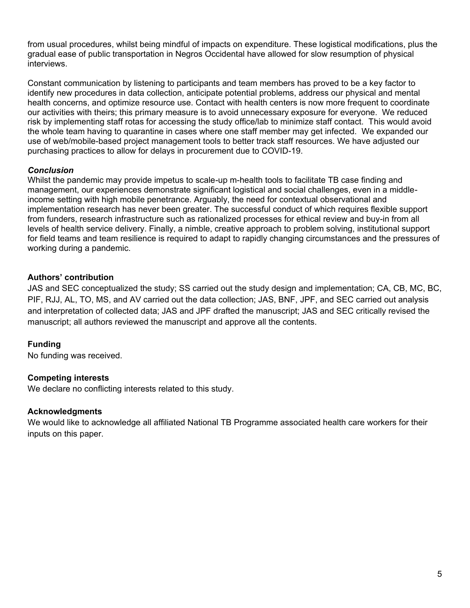from usual procedures, whilst being mindful of impacts on expenditure. These logistical modifications, plus the gradual ease of public transportation in Negros Occidental have allowed for slow resumption of physical interviews.

Constant communication by listening to participants and team members has proved to be a key factor to identify new procedures in data collection, anticipate potential problems, address our physical and mental health concerns, and optimize resource use. Contact with health centers is now more frequent to coordinate our activities with theirs; this primary measure is to avoid unnecessary exposure for everyone. We reduced risk by implementing staff rotas for accessing the study office/lab to minimize staff contact. This would avoid the whole team having to quarantine in cases where one staff member may get infected. We expanded our use of web/mobile-based project management tools to better track staff resources. We have adjusted our purchasing practices to allow for delays in procurement due to COVID-19.

# *Conclusion*

Whilst the pandemic may provide impetus to scale-up m-health tools to facilitate TB case finding and management, our experiences demonstrate significant logistical and social challenges, even in a middleincome setting with high mobile penetrance. Arguably, the need for contextual observational and implementation research has never been greater. The successful conduct of which requires flexible support from funders, research infrastructure such as rationalized processes for ethical review and buy-in from all levels of health service delivery. Finally, a nimble, creative approach to problem solving, institutional support for field teams and team resilience is required to adapt to rapidly changing circumstances and the pressures of working during a pandemic.

# **Authors' contribution**

JAS and SEC conceptualized the study; SS carried out the study design and implementation; CA, CB, MC, BC, PIF, RJJ, AL, TO, MS, and AV carried out the data collection; JAS, BNF, JPF, and SEC carried out analysis and interpretation of collected data; JAS and JPF drafted the manuscript; JAS and SEC critically revised the manuscript; all authors reviewed the manuscript and approve all the contents.

# **Funding**

No funding was received.

#### **Competing interests**

We declare no conflicting interests related to this study.

#### **Acknowledgments**

We would like to acknowledge all affiliated National TB Programme associated health care workers for their inputs on this paper.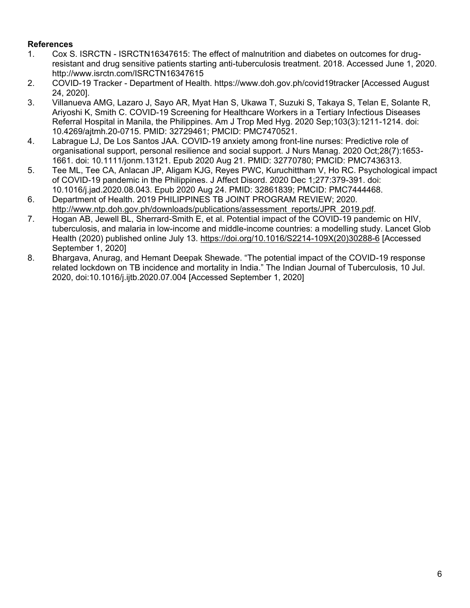# **References**

- 1. Cox S. ISRCTN ISRCTN16347615: The effect of malnutrition and diabetes on outcomes for drugresistant and drug sensitive patients starting anti-tuberculosis treatment. 2018. Accessed June 1, 2020. http://www.isrctn.com/ISRCTN16347615
- 2. COVID-19 Tracker Department of Health. https://www.doh.gov.ph/covid19tracker [Accessed August 24, 2020].
- 3. Villanueva AMG, Lazaro J, Sayo AR, Myat Han S, Ukawa T, Suzuki S, Takaya S, Telan E, Solante R, Ariyoshi K, Smith C. COVID-19 Screening for Healthcare Workers in a Tertiary Infectious Diseases Referral Hospital in Manila, the Philippines. Am J Trop Med Hyg. 2020 Sep;103(3):1211-1214. doi: 10.4269/ajtmh.20-0715. PMID: 32729461; PMCID: PMC7470521.
- 4. Labrague LJ, De Los Santos JAA. COVID-19 anxiety among front-line nurses: Predictive role of organisational support, personal resilience and social support. J Nurs Manag. 2020 Oct;28(7):1653- 1661. doi: 10.1111/jonm.13121. Epub 2020 Aug 21. PMID: 32770780; PMCID: PMC7436313.
- 5. Tee ML, Tee CA, Anlacan JP, Aligam KJG, Reyes PWC, Kuruchittham V, Ho RC. Psychological impact of COVID-19 pandemic in the Philippines. J Affect Disord. 2020 Dec 1;277:379-391. doi: 10.1016/j.jad.2020.08.043. Epub 2020 Aug 24. PMID: 32861839; PMCID: PMC7444468.
- 6. Department of Health. 2019 PHILIPPINES TB JOINT PROGRAM REVIEW; 2020. [http://www.ntp.doh.gov.ph/downloads/publications/assessment\\_reports/JPR\\_2019.pdf.](http://www.ntp.doh.gov.ph/downloads/publications/assessment_reports/JPR_2019.pdf)
- 7. Hogan AB, Jewell BL, Sherrard-Smith E, et al. Potential impact of the COVID-19 pandemic on HIV, tuberculosis, and malaria in low-income and middle-income countries: a modelling study. Lancet Glob Health (2020) published online July 13. [https://doi.org/10.1016/S2214-109X\(20\)30288-6](https://doi.org/10.1016/S2214-109X(20)30288-6) [Accessed September 1, 2020]
- 8. Bhargava, Anurag, and Hemant Deepak Shewade. "The potential impact of the COVID-19 response related lockdown on TB incidence and mortality in India." The Indian Journal of Tuberculosis, 10 Jul. 2020, doi:10.1016/j.ijtb.2020.07.004 [Accessed September 1, 2020]